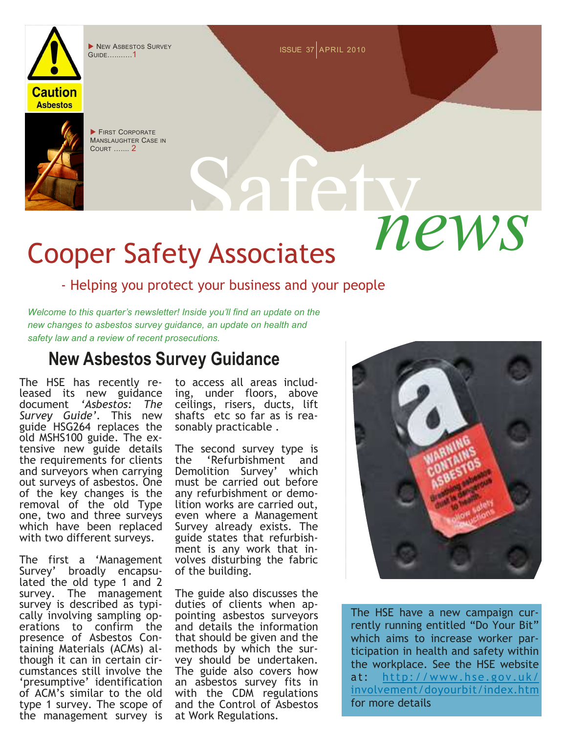

NEW ASBESTOS SURVEY **NEW ASBESTOS** SURVEY Guide...........1

**FIRST CORPORATE** MANSLAUGHTER CASE IN Court ....... **2** 

# news Cooper Safety Associates

#### - Helping you protect your business and your people

*Welcome to this quarter's newsletter! Inside you'll find an update on the new changes to asbestos survey guidance, an update on health and safety law and a review of recent prosecutions.* 

### **New Asbestos Survey Guidance**

The HSE has recently released its new guidance document *'Asbestos: The Survey Guide'.* This new guide HSG264 replaces the old MSHS100 guide. The extensive new guide details the requirements for clients and surveyors when carrying out surveys of asbestos. One of the key changes is the removal of the old Type one, two and three surveys which have been replaced with two different surveys.

The first a 'Management Survey' broadly encapsulated the old type 1 and 2 survey. The management survey is described as typically involving sampling operations to confirm the presence of Asbestos Containing Materials (ACMs) although it can in certain circumstances still involve the 'presumptive' identification of ACM's similar to the old type 1 survey. The scope of the management survey is

to access all areas including, under floors, above ceilings, risers, ducts, lift shafts etc so far as is reasonably practicable .

The second survey type is<br>the 'Refurbishment and the 'Refurbishment Demolition Survey' which must be carried out before any refurbishment or demolition works are carried out, even where a Management Survey already exists. The guide states that refurbishment is any work that involves disturbing the fabric of the building.

The guide also discusses the duties of clients when appointing asbestos surveyors and details the information that should be given and the methods by which the survey should be undertaken. The guide also covers how an asbestos survey fits in with the CDM regulations and the Control of Asbestos at Work Regulations.



The HSE have a new campaign currently running entitled "Do Your Bit" which aims to increase worker participation in health and safety within the workplace. See the HSE website at: http://www.hse.gov.uk/ involvement/doyourbit/index.htm for more details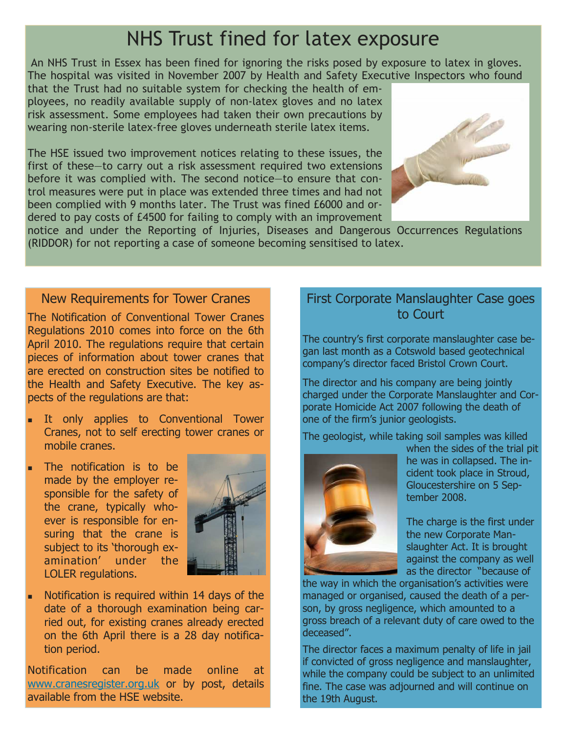## NHS Trust fined for latex exposure

 An NHS Trust in Essex has been fined for ignoring the risks posed by exposure to latex in gloves. The hospital was visited in November 2007 by Health and Safety Executive Inspectors who found

that the Trust had no suitable system for checking the health of employees, no readily available supply of non-latex gloves and no latex risk assessment. Some employees had taken their own precautions by wearing non-sterile latex-free gloves underneath sterile latex items.

The HSE issued two improvement notices relating to these issues, the first of these—to carry out a risk assessment required two extensions before it was complied with. The second notice—to ensure that control measures were put in place was extended three times and had not been complied with 9 months later. The Trust was fined £6000 and ordered to pay costs of £4500 for failing to comply with an improvement



notice and under the Reporting of Injuries, Diseases and Dangerous Occurrences Regulations (RIDDOR) for not reporting a case of someone becoming sensitised to latex.

#### New Requirements for Tower Cranes

The Notification of Conventional Tower Cranes Regulations 2010 comes into force on the 6th April 2010. The regulations require that certain pieces of information about tower cranes that are erected on construction sites be notified to the Health and Safety Executive. The key aspects of the regulations are that:

- It only applies to Conventional Tower Cranes, not to self erecting tower cranes or mobile cranes.
- The notification is to be made by the employer responsible for the safety of the crane, typically whoever is responsible for ensuring that the crane is subject to its 'thorough examination' under the LOLER regulations.



 Notification is required within 14 days of the date of a thorough examination being carried out, for existing cranes already erected on the 6th April there is a 28 day notification period.

Notification can be made online at www.cranesregister.org.uk or by post, details available from the HSE website.

#### First Corporate Manslaughter Case goes to Court

The country's first corporate manslaughter case began last month as a Cotswold based geotechnical company's director faced Bristol Crown Court.

The director and his company are being jointly charged under the Corporate Manslaughter and Corporate Homicide Act 2007 following the death of one of the firm's junior geologists.

The geologist, while taking soil samples was killed



when the sides of the trial pit he was in collapsed. The incident took place in Stroud, Gloucestershire on 5 September 2008.

The charge is the first under the new Corporate Manslaughter Act. It is brought against the company as well as the director "because of

the way in which the organisation's activities were managed or organised, caused the death of a person, by gross negligence, which amounted to a gross breach of a relevant duty of care owed to the deceased".

The director faces a maximum penalty of life in jail if convicted of gross negligence and manslaughter, while the company could be subject to an unlimited fine. The case was adjourned and will continue on the 19th August.